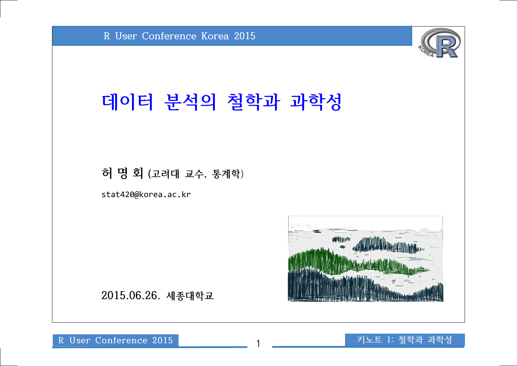

# **데이터 분석의 철학과 과학성**

#### **허 명 회 (고려대 교수, 통계학**)

stat420@korea.ac.kr



**2015.06.26. 세종대학교** 

**R User Conference 2015** 1 **키노트 1: 철학과 과학성**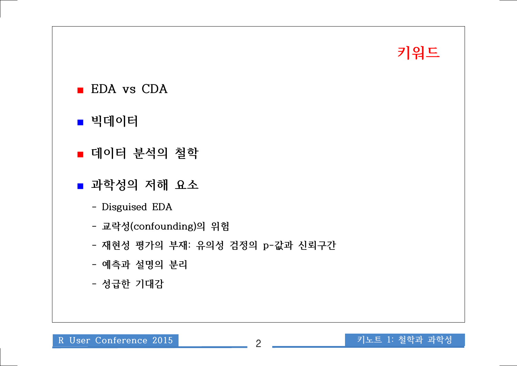# **키워드**

- **EDA vs CDA**
- 빅데이터
- **데이터 분석의** 철학
- **과학성의 저해 요소**
	- **Disguised EDA**
	- **교락성(confounding)의 위험**
	- **재현성 평가의 부재: 유의성 검정의 p-값과 신뢰구간**
	- **예측과 설명의 분리**
	- **성급한 기대감**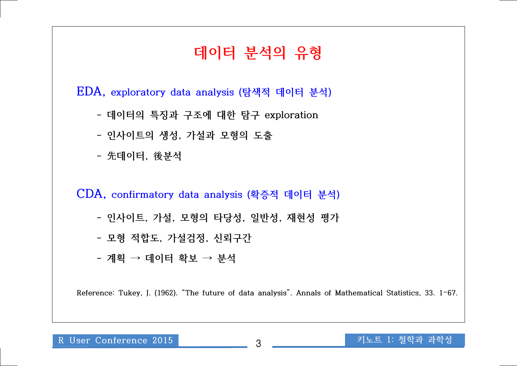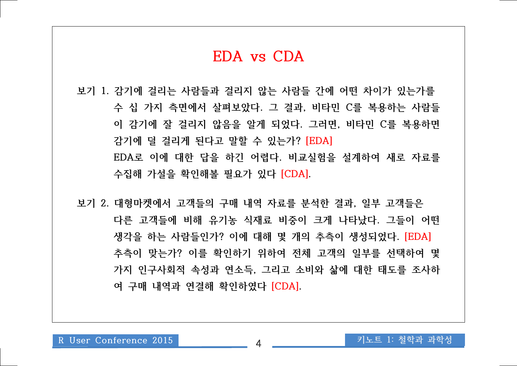#### **EDA vs CDA**

**보기 1. 감기에 걸리는 사람들과 걸리지 않는 사람들 간에 어떤 차이가 있는가를 수 십 가지 측면에서 살펴보았다. 그 결과, 비타민 C를 복용하는 사람들 이 감기에 잘 걸리지 않음을 알게 되었다. 그러면, 비타민 C를 복용하면 감기에 덜 걸리게 된다고 말할 수 있는가? [EDA] EDA로 이에 대한 답을 하긴 어렵다. 비교실험을 설계하여 새로 자료를 수집해 가설을 확인해볼 필요가 있다 [CDA]. 보기 2. 대형마켓에서 고객들의 구매 내역 자료를 분석한 결과, 일부 고객들은** 

**다른 고객들에 비해 유기농 식재료 비중이 크게 나타났다. 그들이 어떤 생각을 하는 사람들인가? 이에 대해 몇 개의 추측이 생성되었다. [EDA] 추측이 맞는가? 이를 확인하기 위하여 전체 고객의 일부를 선택하여 몇 가지 인구사회적 속성과 연소득, 그리고 소비와 삶에 대한 태도를 조사하 여 구매 내역과 연결해 확인하였다 [CDA].**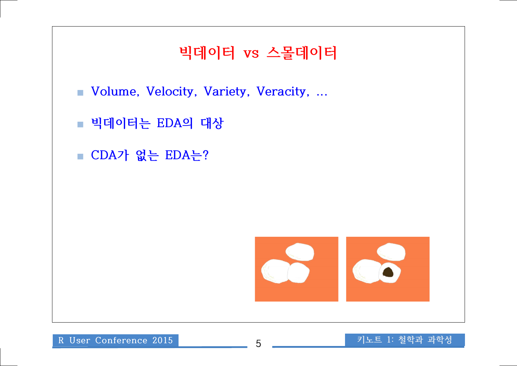## **빅데이터 vs 스몰데이터**

- **Volume, Velocity, Variety, Veracity, ...**
- **빅데이터는 EDA의 대상**
- **CDA가 없는 EDA는?**

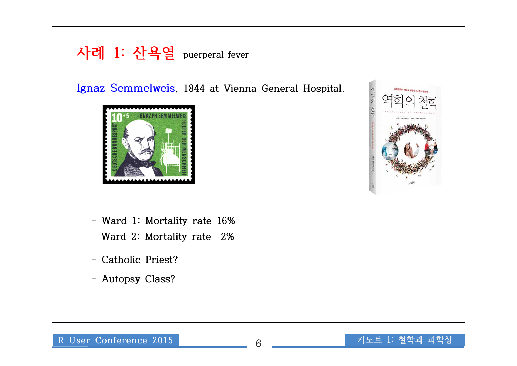**사례 1: 산욕열 puerperal fever**

**Ignaz Semmelweis, 1844 at Vienna General Hospital.**



- **Ward 1: Mortality rate 16% Ward 2: Mortality rate 2%**
- **Catholic Priest?**
- **Autopsy Class?**

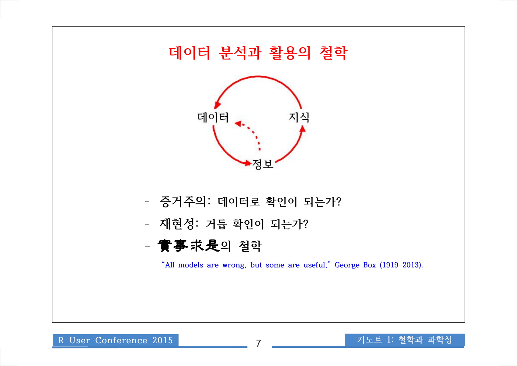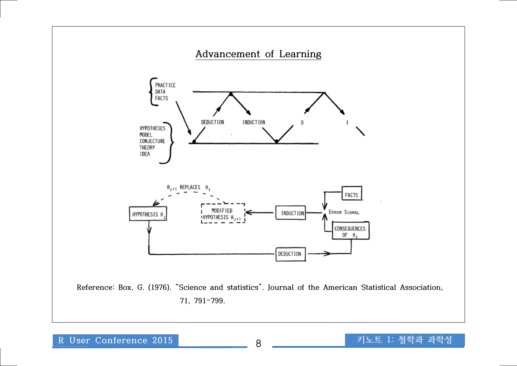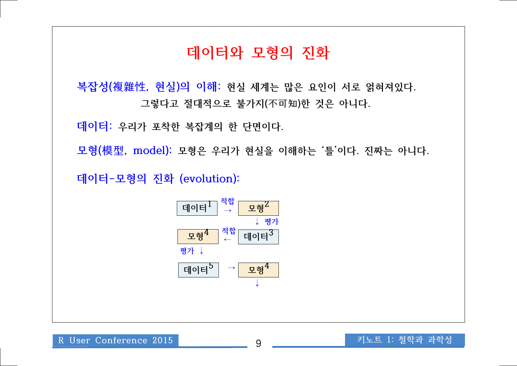### **데이터와 모형의 진화**

**복잡성(複雜性, 현실)의 이해: 현실 세계는 많은 요인이 서로 얽혀져있다. 그렇다고 절대적으로 불가지(不可知)한 것은 아니다.** 

**데이터: 우리가 포착한 복잡계의 한 단면이다.** 

**모형(模型, model): 모형은 우리가 현실을 이해하는 '틀'이다. 진짜는 아니다.**

**데이터-모형의 진화 (evolution):** 

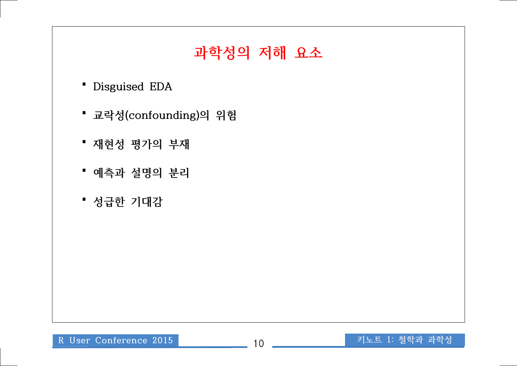# **과학성의 저해 요소**

- **▝ Disguised EDA**
- **▝ 교락성(confounding)의 위험**
- **▝ 재현성 평가의 부재**
- **▝ 예측과 설명의 분리**
- **▝ 성급한 기대감**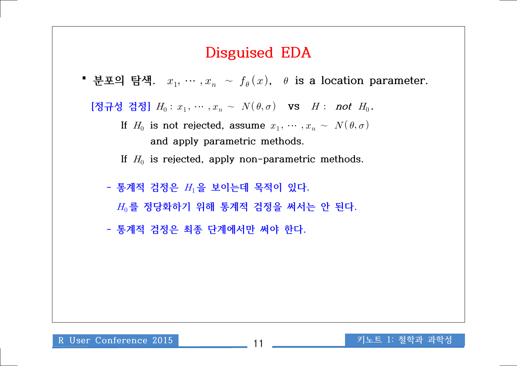#### **Disguised EDA**

■ 분포의 탐색.  $x_1, \, \cdots, x_n$  ∼  $f_{\theta}(x)$ ,  $\theta$  is a location parameter.  $\left[\mathcal{R}\right] \overline{H} \overline{Q} \overline{Q}$  검정]  $H_0: \, x_1, \, \cdots \, , x_n \, \sim \, \, N(\, \theta , \sigma)$  vs  $H:$  not  $H_0$ . If  $H_0$  is not rejected, assume  $x_1, \cdots, x_n \sim \ N(\, \theta, \sigma)$  **and apply parametric methods.** If  $H_0$  is rejected, apply non-parametric methods.

 **- 통계적 검정은 을 보이는데 목적이 있다. 를 정당화하기 위해 통계적 검정을 써서는 안 된다. - 통계적 검정은 최종 단계에서만 써야 한다.**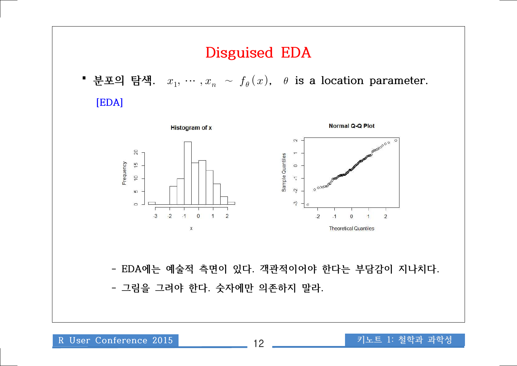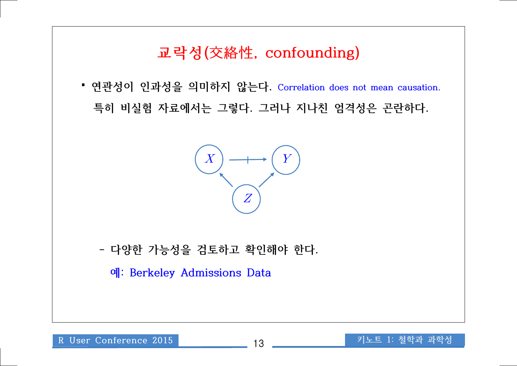## **교락성(交絡性, confounding)**

**▝ 연관성이 인과성을 의미하지 않는다. Correlation does not mean causation. 특히 비실험 자료에서는 그렇다. 그러나 지나친 엄격성은 곤란하다.**



 **- 다양한 가능성을 검토하고 확인해야 한다.**

 **예: Berkeley Admissions Data**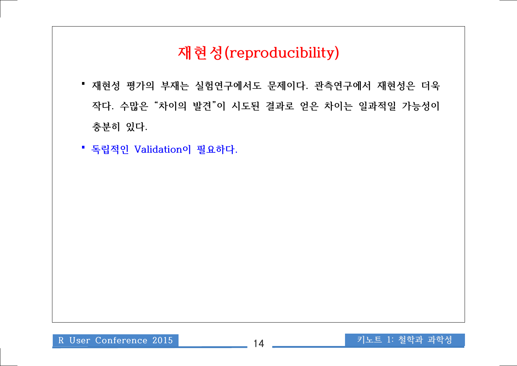# **재현성(reproducibility)**

- **▝ 재현성 평가의 부재는 실험연구에서도 문제이다. 관측연구에서 재현성은 더욱 작다. 수많은 "차이의 발견"이 시도된 결과로 얻은 차이는 일과적일 가능성이 충분히 있다. ▝ 독립적인 Validation이 필요하다.**
-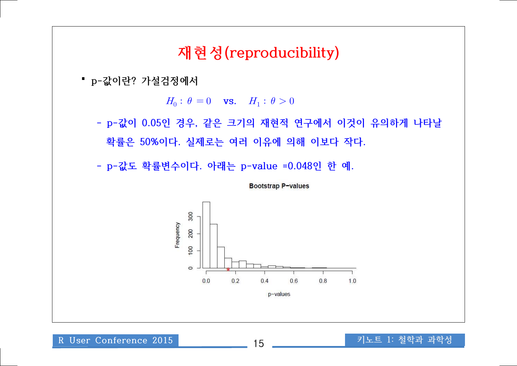#### **재현성(reproducibility)**

**▝ p-값이란? 가설검정에서** 

 $H_0: \theta = 0$  vs.  $H_1: \theta > 0$ 

 **- p-값이 0.05인 경우, 같은 크기의 재현적 연구에서 이것이 유의하게 나타날 확률은 50%이다. 실제로는 여러 이유에 의해 이보다 작다.**

 **- p-값도 확률변수이다. 아래는 p-value =0.048인 한 예.** 

Bootstrap P-values

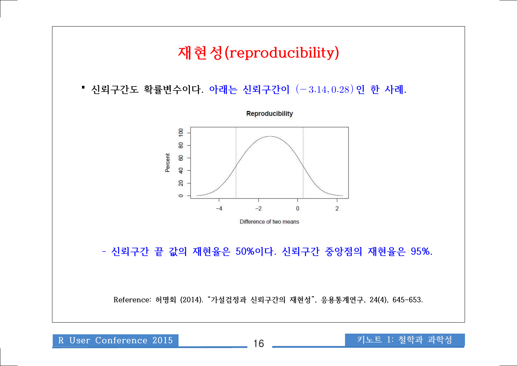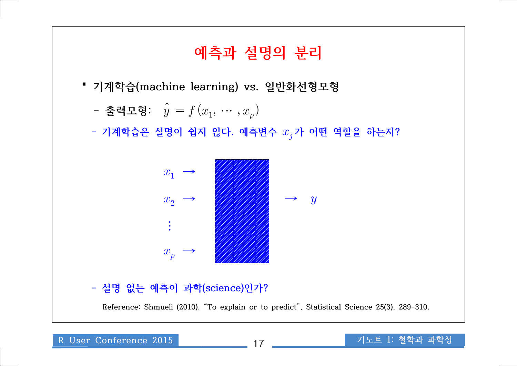# **예측과 설명의 분리 ▝ 기계학습(machine learning) vs. 일반화선형모형** - 출력모형:  $\hat{y} = f(x_1, \, \cdots, x_p)$  $-$  기계학습은 설명이 쉽지 않다. 예측변수  $x_j$ 가 어떤 역할을 하는지?  **- 설명 없는 예측이 과학(science)인가? Reference: Shmueli (2010). "To explain or to predict", Statistical Science 25(3), 289-310.**   $x_1 \rightarrow$  $x_2 \rightarrow$ ⋮  $x_p \rightarrow$ →  $\rightarrow$  y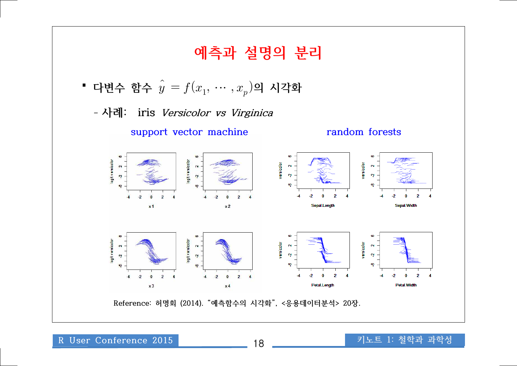

**R User Conference 2015** 18 **키노트 1: 철학과 과학성**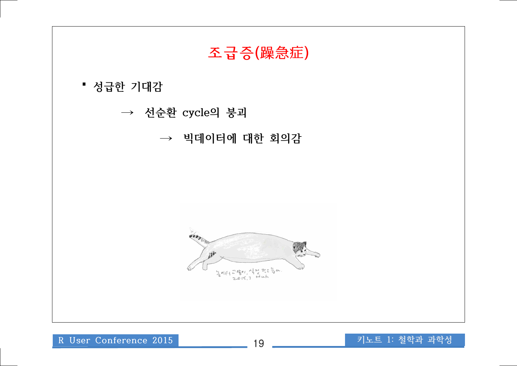

**R User Conference 2015** 19 **키노트 1: 철학과 과학성**